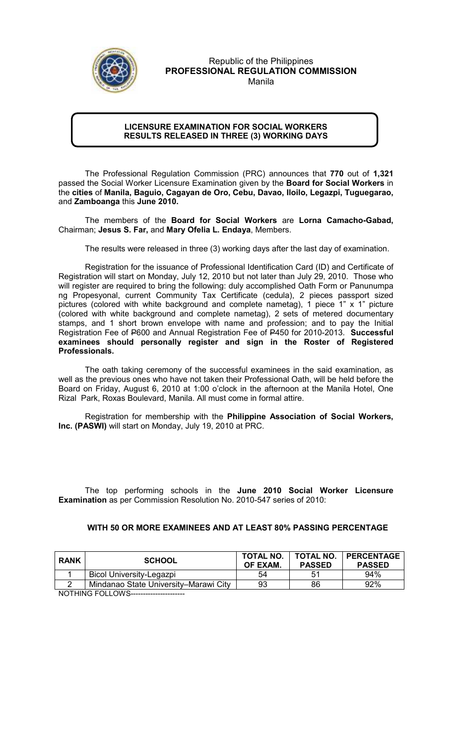

Republic of the Philippines PROFESSIONAL REGULATION COMMISSION Manila

## LICENSURE EXAMINATION FOR SOCIAL WORKERS RESULTS RELEASED IN THREE (3) WORKING DAYS

The Professional Regulation Commission (PRC) announces that 770 out of 1,321 passed the Social Worker Licensure Examination given by the Board for Social Workers in the cities of Manila, Baguio, Cagayan de Oro, Cebu, Davao, Iloilo, Legazpi, Tuguegarao, and Zamboanga this June 2010.

The members of the Board for Social Workers are Lorna Camacho-Gabad, Chairman; Jesus S. Far, and Mary Ofelia L. Endaya, Members.

The results were released in three (3) working days after the last day of examination.

 Registration for the issuance of Professional Identification Card (ID) and Certificate of Registration will start on Monday, July 12, 2010 but not later than July 29, 2010. Those who will register are required to bring the following: duly accomplished Oath Form or Panunumpa ng Propesyonal, current Community Tax Certificate (cedula), 2 pieces passport sized pictures (colored with white background and complete nametag), 1 piece 1" x 1" picture (colored with white background and complete nametag), 2 sets of metered documentary stamps, and 1 short brown envelope with name and profession; and to pay the Initial Registration Fee of P600 and Annual Registration Fee of P450 for 2010-2013. Successful examinees should personally register and sign in the Roster of Registered Professionals.

The oath taking ceremony of the successful examinees in the said examination, as well as the previous ones who have not taken their Professional Oath, will be held before the Board on Friday, August 6, 2010 at 1:00 o'clock in the afternoon at the Manila Hotel, One Rizal Park, Roxas Boulevard, Manila. All must come in formal attire.

Registration for membership with the Philippine Association of Social Workers, Inc. (PASWI) will start on Monday, July 19, 2010 at PRC.

The top performing schools in the June 2010 Social Worker Licensure Examination as per Commission Resolution No. 2010-547 series of 2010:

## WITH 50 OR MORE EXAMINEES AND AT LEAST 80% PASSING PERCENTAGE

| <b>RANK</b> | <b>SCHOOL</b>                         | <b>TOTAL NO.</b><br>OF EXAM. | <b>TOTAL NO.</b><br><b>PASSED</b> | <b>PERCENTAGE</b><br><b>PASSED</b> |
|-------------|---------------------------------------|------------------------------|-----------------------------------|------------------------------------|
|             | Bicol University-Legazpi              | 54                           | 51                                | 94%                                |
|             | Mindanao State University–Marawi City | 93                           | 86                                | 92%                                |

NOTHING FOLLOWS----------------------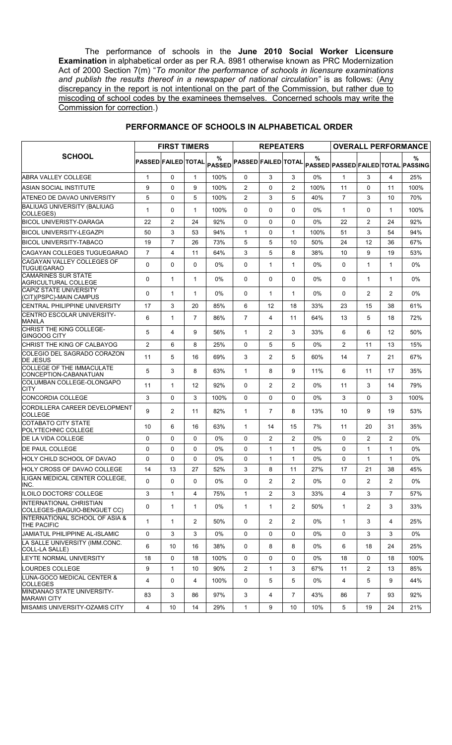The performance of schools in the June 2010 Social Worker Licensure Examination in alphabetical order as per R.A. 8981 otherwise known as PRC Modernization Act of 2000 Section 7(m) "To monitor the performance of schools in licensure examinations and publish the results thereof in a newspaper of national circulation" is as follows: (Any discrepancy in the report is not intentional on the part of the Commission, but rather due to miscoding of school codes by the examinees themselves. Concerned schools may write the Commission for correction.)

|                                                                | <b>FIRST TIMERS</b>        |                |                | <b>REPEATERS</b>   |                            |                |                | <b>OVERALL PERFORMANCE</b> |                |                |                |                                         |
|----------------------------------------------------------------|----------------------------|----------------|----------------|--------------------|----------------------------|----------------|----------------|----------------------------|----------------|----------------|----------------|-----------------------------------------|
| <b>SCHOOL</b>                                                  | <b>PASSED FAILED TOTAL</b> |                |                | %<br><b>PASSED</b> | <b>PASSED FAILED TOTAL</b> |                |                | %                          |                |                |                | %<br>PASSED PASSED FAILED TOTAL PASSING |
| <b>ABRA VALLEY COLLEGE</b>                                     | $\mathbf{1}$               | $\Omega$       | 1              | 100%               | $\mathbf{0}$               | 3              | 3              | $0\%$                      | $\mathbf{1}$   | 3              | 4              | 25%                                     |
| ASIAN SOCIAL INSTITUTE                                         | 9                          | $\Omega$       | 9              | 100%               | $\overline{2}$             | 0              | 2              | 100%                       | 11             | $\mathbf{0}$   | 11             | 100%                                    |
| ATENEO DE DAVAO UNIVERSITY                                     | 5                          | $\Omega$       | 5              | 100%               | $\overline{2}$             | 3              | 5              | 40%                        | $\overline{7}$ | 3              | 10             | 70%                                     |
| <b>BALIUAG UNIVERSITY (BALIUAG</b><br>COLLEGES)                | 1                          | $\Omega$       | 1              | 100%               | $\mathbf{0}$               | $\Omega$       | $\Omega$       | $0\%$                      | 1              | $\mathbf{0}$   | 1              | 100%                                    |
| <b>BICOL UNIVERISTY-DARAGA</b>                                 | 22                         | 2              | 24             | 92%                | 0                          | 0              | $\Omega$       | $0\%$                      | 22             | 2              | 24             | 92%                                     |
| <b>BICOL UNIVERSITY-LEGAZPI</b>                                | 50                         | 3              | 53             | 94%                | $\mathbf{1}$               | $\Omega$       | $\mathbf{1}$   | 100%                       | 51             | 3              | 54             | 94%                                     |
| <b>BICOL UNIVERSITY-TABACO</b>                                 | 19                         | $\overline{7}$ | 26             | 73%                | 5                          | 5              | 10             | 50%                        | 24             | 12             | 36             | 67%                                     |
| CAGAYAN COLLEGES TUGUEGARAO                                    | $\overline{7}$             | 4              | 11             | 64%                | 3                          | 5              | 8              | 38%                        | 10             | 9              | 19             | 53%                                     |
| CAGAYAN VALLEY COLLEGES OF<br><b>TUGUEGARAO</b>                | 0                          | $\Omega$       | $\Omega$       | $0\%$              | 0                          | $\mathbf{1}$   | 1              | $0\%$                      | $\Omega$       | $\mathbf{1}$   | $\mathbf{1}$   | $0\%$                                   |
| <b>CAMARINES SUR STATE</b><br>AGRICULTURAL COLLEGE             | 0                          | $\mathbf{1}$   | 1              | $0\%$              | 0                          | 0              | $\Omega$       | $0\%$                      | 0              | $\mathbf{1}$   | $\mathbf{1}$   | $0\%$                                   |
| <b>CAPIZ STATE UNIVERSITY</b><br>(CIT)(PSPC)-MAIN CAMPUS       | 0                          | $\mathbf{1}$   | 1              | $0\%$              | $\mathbf{0}$               | $\mathbf{1}$   | 1              | $0\%$                      | $\mathbf{0}$   | 2              | $\overline{c}$ | $0\%$                                   |
| CENTRAL PHILIPPINE UNIVERSITY                                  | 17                         | 3              | 20             | 85%                | 6                          | 12             | 18             | 33%                        | 23             | 15             | 38             | 61%                                     |
| <b>CENTRO ESCOLAR UNIVERSITY-</b><br>MANILA                    | 6                          | $\mathbf{1}$   | $\overline{7}$ | 86%                | $\overline{7}$             | 4              | 11             | 64%                        | 13             | 5              | 18             | 72%                                     |
| CHRIST THE KING COLLEGE-<br>GINGOOG CITY                       | 5                          | 4              | 9              | 56%                | $\mathbf{1}$               | 2              | 3              | 33%                        | 6              | 6              | 12             | 50%                                     |
| CHRIST THE KING OF CALBAYOG                                    | $\overline{2}$             | 6              | 8              | 25%                | $\Omega$                   | 5              | 5              | $0\%$                      | $\overline{2}$ | 11             | 13             | 15%                                     |
| COLEGIO DEL SAGRADO CORAZON<br><b>DE JESUS</b>                 | 11                         | 5              | 16             | 69%                | 3                          | 2              | 5              | 60%                        | 14             | $\overline{7}$ | 21             | 67%                                     |
| <b>COLLEGE OF THE IMMACULATE</b><br>CONCEPTION-CABANATUAN      | 5                          | 3              | 8              | 63%                | 1                          | 8              | 9              | 11%                        | 6              | 11             | 17             | 35%                                     |
| COLUMBAN COLLEGE-OLONGAPO<br>CITY                              | 11                         | $\mathbf{1}$   | 12             | 92%                | $\mathbf{0}$               | 2              | $\overline{2}$ | $0\%$                      | 11             | 3              | 14             | 79%                                     |
| <b>CONCORDIA COLLEGE</b>                                       | 3                          | $\Omega$       | 3              | 100%               | $\Omega$                   | $\Omega$       | $\Omega$       | $0\%$                      | 3              | $\Omega$       | 3              | 100%                                    |
| CORDILLERA CAREER DEVELOPMENT<br><b>COLLEGE</b>                | 9                          | 2              | 11             | 82%                | $\mathbf{1}$               | $\overline{7}$ | 8              | 13%                        | 10             | 9              | 19             | 53%                                     |
| COTABATO CITY STATE<br>POLYTECHNIC COLLEGE                     | 10                         | 6              | 16             | 63%                | 1                          | 14             | 15             | 7%                         | 11             | 20             | 31             | 35%                                     |
| DE LA VIDA COLLEGE                                             | $\Omega$                   | $\Omega$       | $\Omega$       | 0%                 | $\Omega$                   | 2              | 2              | 0%                         | $\Omega$       | 2              | 2              | 0%                                      |
| DE PAUL COLLEGE                                                | 0                          | $\Omega$       | $\Omega$       | 0%                 | 0                          | $\mathbf{1}$   | $\mathbf{1}$   | 0%                         | 0              | $\mathbf{1}$   | $\mathbf{1}$   | 0%                                      |
| HOLY CHILD SCHOOL OF DAVAO                                     | 0                          | $\Omega$       | $\Omega$       | $0\%$              | 0                          | $\mathbf{1}$   | $\mathbf{1}$   | $0\%$                      | 0              | $\mathbf{1}$   | $\mathbf{1}$   | $0\%$                                   |
| HOLY CROSS OF DAVAO COLLEGE                                    | 14                         | 13             | 27             | 52%                | 3                          | 8              | 11             | 27%                        | 17             | 21             | 38             | 45%                                     |
| ILIGAN MEDICAL CENTER COLLEGE,<br>INC.                         | $\Omega$                   | $\Omega$       | $\Omega$       | 0%                 | 0                          | $\overline{2}$ | $\overline{2}$ | 0%                         | 0              | $\overline{2}$ | $\overline{2}$ | $0\%$                                   |
| ILOILO DOCTORS' COLLEGE                                        | 3                          | $\mathbf{1}$   | 4              | 75%                | $\mathbf{1}$               | $\overline{2}$ | 3              | 33%                        | 4              | 3              | $\overline{7}$ | 57%                                     |
| <b>INTERNATIONAL CHRISTIAN</b><br>COLLEGES-(BAGUIO-BENGUET CC) | 0                          | $\mathbf{1}$   | 1              | 0%                 | $\mathbf{1}$               | $\mathbf{1}$   | $\overline{2}$ | 50%                        | $\mathbf 1$    | $\overline{2}$ | 3              | 33%                                     |
| INTERNATIONAL SCHOOL OF ASIA &<br>THE PACIFIC                  | $\mathbf{1}$               | $\mathbf{1}$   | $\overline{2}$ | 50%                | $\mathbf 0$                | $\overline{c}$ | $\overline{2}$ | $0\%$                      | $\mathbf{1}$   | 3              | 4              | 25%                                     |
| <b>JAMIATUL PHILIPPINE AL-ISLAMIC</b>                          | 0                          | 3              | 3              | 0%                 | 0                          | 0              | 0              | 0%                         | $\mathbf 0$    | 3              | 3              | 0%                                      |
| LA SALLE UNIVERSITY (IMM.CONC.<br>COLL-LA SALLE)               | 6                          | 10             | 16             | 38%                | 0                          | 8              | 8              | $0\%$                      | 6              | 18             | 24             | 25%                                     |
| LEYTE NORMAL UNIVERSITY                                        | 18                         | $\Omega$       | 18             | 100%               | 0                          | $\Omega$       | $\mathbf{0}$   | 0%                         | 18             | 0              | 18             | 100%                                    |
| LOURDES COLLEGE                                                | 9                          | $\mathbf{1}$   | 10             | 90%                | $\overline{2}$             | $\mathbf{1}$   | 3              | 67%                        | 11             | $\overline{2}$ | 13             | 85%                                     |
| LUNA-GOCO MEDICAL CENTER &<br><b>COLLEGES</b>                  | 4                          | 0              | 4              | 100%               | 0                          | 5              | 5              | 0%                         | 4              | 5              | 9              | 44%                                     |
| MINDANAO STATE UNIVERSITY-<br><b>MARAWI CITY</b>               | 83                         | 3              | 86             | 97%                | 3                          | 4              | $\overline{7}$ | 43%                        | 86             | $\overline{7}$ | 93             | 92%                                     |
| MISAMIS UNIVERSITY-OZAMIS CITY                                 | 4                          | 10             | 14             | 29%                | $\mathbf{1}$               | 9              | 10             | 10%                        | 5              | 19             | 24             | 21%                                     |

## PERFORMANCE OF SCHOOLS IN ALPHABETICAL ORDER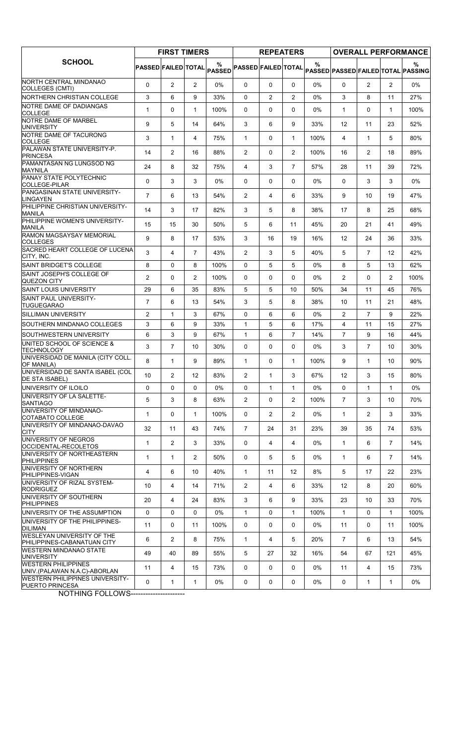|                                                                  | <b>FIRST TIMERS</b> |                |                | <b>REPEATERS</b>           |                            |                |                   | <b>OVERALL PERFORMANCE</b> |                   |                |                |                                                     |
|------------------------------------------------------------------|---------------------|----------------|----------------|----------------------------|----------------------------|----------------|-------------------|----------------------------|-------------------|----------------|----------------|-----------------------------------------------------|
| <b>SCHOOL</b>                                                    |                     |                |                | PASSED FAILED TOTAL PASSED | <b>PASSED FAILED TOTAL</b> |                |                   | $\%$                       |                   |                |                | $\frac{9}{6}$<br>PASSED PASSED FAILED TOTAL PASSING |
| NORTH CENTRAL MINDANAO<br>COLLEGES (CMTI)                        | $\Omega$            | $\overline{2}$ | $\overline{2}$ | 0%                         | $\Omega$                   | $\Omega$       | $\mathbf{0}$      | 0%                         | 0                 | $\overline{c}$ | 2              | 0%                                                  |
| NORTHERN CHRISTIAN COLLEGE                                       | 3                   | 6              | 9              | 33%                        | $\Omega$                   | 2              | $\overline{c}$    | 0%                         | 3                 | 8              | 11             | 27%                                                 |
| NOTRE DAME OF DADIANGAS<br><b>COLLEGE</b>                        | $\mathbf{1}$        | 0              | 1              | 100%                       | $\Omega$                   | $\Omega$       | $\Omega$          | 0%                         | 1                 | $\Omega$       | $\mathbf{1}$   | 100%                                                |
| NOTRE DAME OF MARBEL<br><b>UNIVERSITY</b>                        | 9                   | 5              | 14             | 64%                        | 3                          | 6              | 9                 | 33%                        | 12                | 11             | 23             | 52%                                                 |
| NOTRE DAME OF TACURONG<br><b>COLLEGE</b>                         | 3                   | $\mathbf{1}$   | 4              | 75%                        | $\mathbf{1}$               | $\Omega$       | $\mathbf{1}$      | 100%                       | 4                 | $\mathbf{1}$   | 5              | 80%                                                 |
| PALAWAN STATE UNIVERSITY-P.<br>PRINCESA                          | 14                  | 2              | 16             | 88%                        | 2                          | $\Omega$       | 2                 | 100%                       | 16                | $\overline{2}$ | 18             | 89%                                                 |
| PAMANTASAN NG LUNGSOD NG<br>MAYNILA                              | 24                  | 8              | 32             | 75%                        | 4                          | 3              | 7                 | 57%                        | 28                | 11             | 39             | 72%                                                 |
| <b>PANAY STATE POLYTECHNIC</b><br>COLLEGE-PILAR                  | 0                   | 3              | 3              | 0%                         | $\Omega$                   | $\Omega$       | 0                 | 0%                         | $\Omega$          | 3              | 3              | 0%                                                  |
| PANGASINAN STATE UNIVERSITY-<br><b>LINGAYEN</b>                  | $\overline{7}$      | 6              | 13             | 54%                        | 2                          | 4              | 6                 | 33%                        | 9                 | 10             | 19             | 47%                                                 |
| PHILIPPINE CHRISTIAN UNIVERSITY-<br><b>MANILA</b>                | 14                  | 3              | 17             | 82%                        | 3                          | 5              | 8                 | 38%                        | 17                | 8              | 25             | 68%                                                 |
| PHILIPPINE WOMEN'S UNIVERSITY-<br>MANILA                         | 15                  | 15             | 30             | 50%                        | 5                          | 6              | 11                | 45%                        | 20                | 21             | 41             | 49%                                                 |
| RAMON MAGSAYSAY MEMORIAL<br><b>COLLEGES</b>                      | 9                   | 8              | 17             | 53%                        | 3                          | 16             | 19                | 16%                        | $12 \overline{ }$ | 24             | 36             | 33%                                                 |
| SACRED HEART COLLEGE OF LUCENA<br>CITY, INC.                     | 3                   | 4              | $\overline{7}$ | 43%                        | $\overline{2}$             | 3              | 5                 | 40%                        | 5                 | $\overline{7}$ | 12             | 42%                                                 |
| SAINT BRIDGET'S COLLEGE                                          | 8                   | $\Omega$       | 8              | 100%                       | $\Omega$                   | 5              | 5                 | 0%                         | 8                 | 5              | 13             | 62%                                                 |
| SAINT JOSEPH'S COLLEGE OF<br><b>QUEZON CITY</b>                  | $\overline{c}$      | 0              | $\overline{2}$ | 100%                       | 0                          | $\Omega$       | 0                 | 0%                         | 2                 | 0              | $\overline{2}$ | 100%                                                |
| <b>SAINT LOUIS UNIVERSITY</b>                                    | 29                  | 6              | 35             | 83%                        | 5                          | 5              | 10                | 50%                        | 34                | 11             | 45             | 76%                                                 |
| <b>SAINT PAUL UNIVERSITY-</b><br><b>TUGUEGARAO</b>               | $\overline{7}$      | 6              | 13             | 54%                        | 3                          | 5              | 8                 | 38%                        | 10                | 11             | 21             | 48%                                                 |
| <b>SILLIMAN UNIVERSITY</b>                                       | $\overline{2}$      | $\mathbf{1}$   | 3              | 67%                        | $\Omega$                   | 6              | 6                 | 0%                         | $\overline{c}$    | $\overline{7}$ | 9              | 22%                                                 |
| SOUTHERN MINDANAO COLLEGES                                       | 3                   | 6              | 9              | 33%                        | $\mathbf{1}$               | 5              | 6                 | 17%                        | 4                 | 11             | 15             | 27%                                                 |
| SOUTHWESTERN UNIVERSITY                                          | 6                   | 3              | 9              | 67%                        | $\mathbf{1}$               | 6              | $\overline{7}$    | 14%                        | $\overline{7}$    | 9              | 16             | 44%                                                 |
| UNITED SCHOOL OF SCIENCE &<br><b>TECHNOLOGY</b>                  | 3                   | $\overline{7}$ | 10             | 30%                        | $\Omega$                   | $\Omega$       | 0                 | 0%                         | 3                 | $\overline{7}$ | 10             | 30%                                                 |
| UNIVERSIDAD DE MANILA (CITY COLL.<br>OF MANILA)                  | 8                   | $\mathbf{1}$   | 9              | 89%                        | $\mathbf{1}$               | $\Omega$       | 1                 | 100%                       | 9                 | $\mathbf{1}$   | 10             | 90%                                                 |
| UNIVERSIDAD DE SANTA ISABEL (COL<br> DE STA ISABEL)              | 10                  | $\overline{2}$ | 12             | 83%                        | 2                          | 1              | 3                 | 67%                        | 12                | 3              | 15             | 80%                                                 |
| UNIVERSITY OF ILOILO                                             | 0                   | $\Omega$       | 0              | 0%                         | 0                          | $\mathbf{1}$   | $\mathbf{1}$      | 0%                         | 0                 | $\mathbf{1}$   | $\mathbf{1}$   | 0%                                                  |
| UNIVERSITY OF LA SALETTE-<br><b>SANTIAGO</b>                     | 5                   | 3              | 8              | 63%                        | $\overline{2}$             | $\Omega$       | $\overline{2}$    | 100%                       | $\overline{7}$    | 3              | 10             | 70%                                                 |
| UNIVERSITY OF MINDANAO-<br>COTABATO COLLEGE                      | $\mathbf{1}$        | 0              | $\mathbf{1}$   | 100%                       | $\mathbf{0}$               | $\overline{2}$ | $\overline{2}$    | 0%                         | $\mathbf{1}$      | $\overline{c}$ | 3              | 33%                                                 |
| UNIVERSITY OF MINDANAO-DAVAO<br><b>CITY</b>                      | 32                  | 11             | 43             | 74%                        | $\overline{7}$             | 24             | 31                | 23%                        | 39                | 35             | 74             | 53%                                                 |
| UNIVERSITY OF NEGROS<br>OCCIDENTAL-RECOLETOS                     | $\mathbf{1}$        | $\overline{2}$ | 3              | 33%                        | 0                          | $\overline{4}$ | 4                 | 0%                         | $\mathbf{1}$      | 6              | $\overline{7}$ | 14%                                                 |
| UNIVERSITY OF NORTHEASTERN<br><b>PHILIPPINES</b>                 | $\mathbf{1}$        | $\mathbf{1}$   | $\overline{2}$ | 50%                        | $\Omega$                   | 5              | 5                 | 0%                         | $\mathbf{1}$      | 6              | $\overline{7}$ | 14%                                                 |
| UNIVERSITY OF NORTHERN<br>PHILIPPINES-VIGAN                      | 4                   | 6              | 10             | 40%                        | $\mathbf{1}$               | 11             | $12 \overline{ }$ | 8%                         | 5                 | 17             | 22             | 23%                                                 |
| UNIVERSITY OF RIZAL SYSTEM-<br><b>RODRIGUEZ</b>                  | 10                  | 4              | 14             | 71%                        | $\overline{2}$             | 4              | 6                 | 33%                        | $12 \overline{ }$ | 8              | 20             | 60%                                                 |
| UNIVERSITY OF SOUTHERN<br><b>PHILIPPINES</b>                     | 20                  | 4              | 24             | 83%                        | 3                          | 6              | 9                 | 33%                        | 23                | 10             | 33             | 70%                                                 |
| UNIVERSITY OF THE ASSUMPTION                                     | 0                   | 0              | $\Omega$       | 0%                         | $\mathbf{1}$               | 0              | $\mathbf{1}$      | 100%                       | $\mathbf{1}$      | 0              | $\mathbf{1}$   | 100%                                                |
| UNIVERSITY OF THE PHILIPPINES-<br>DILIMAN                        | 11                  | 0              | 11             | 100%                       | 0                          | $\mathbf{0}$   | $\mathbf{0}$      | 0%                         | 11                | 0              | 11             | 100%                                                |
| <b>WESLEYAN UNIVERSITY OF THE</b><br>PHILIPPINES-CABANATUAN CITY | 6                   | $\overline{2}$ | 8              | 75%                        | $\mathbf{1}$               | 4              | 5                 | 20%                        | $\overline{7}$    | 6              | 13             | 54%                                                 |
| WESTERN MINDANAO STATE<br><b>UNIVERSITY</b>                      | 49                  | 40             | 89             | 55%                        | 5                          | 27             | 32                | 16%                        | 54                | 67             | 121            | 45%                                                 |
| <b>WESTERN PHILIPPINES</b><br>UNIV. (PALAWAN N.A.C)-ABORLAN      | 11                  | 4              | 15             | 73%                        | 0                          | $\mathbf 0$    | 0                 | 0%                         | 11                | 4              | 15             | 73%                                                 |
| <b>WESTERN PHILIPPINES UNIVERSITY-</b><br><b>PUERTO PRINCESA</b> | 0                   | $\mathbf{1}$   | $\mathbf{1}$   | 0%                         | 0                          | 0              | 0                 | 0%                         | 0                 | $\mathbf{1}$   | $\mathbf{1}$   | 0%                                                  |

**NOTHING FOLLOWS----------------------**